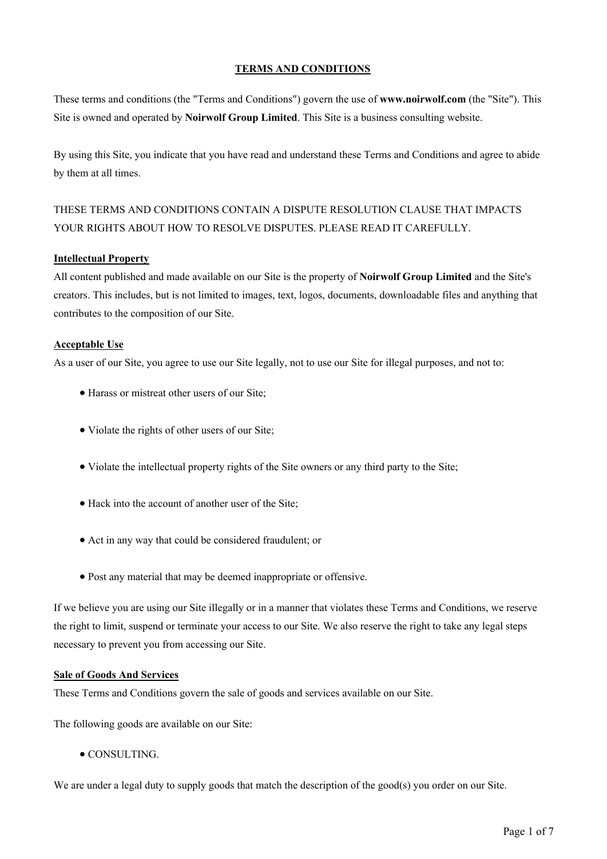## **TERMS AND CONDITIONS**

These terms and conditions (the "Terms and Conditions") govern the use of **www.noirwolf.com** (the "Site"). This Site is owned and operated by **Noirwolf Group Limited**. This Site is a business consulting website.

By using this Site, you indicate that you have read and understand these Terms and Conditions and agree to abide by them at all times.

# THESE TERMS AND CONDITIONS CONTAIN A DISPUTE RESOLUTION CLAUSE THAT IMPACTS YOUR RIGHTS ABOUT HOW TO RESOLVE DISPUTES. PLEASE READ IT CAREFULLY.

## **Intellectual Property**

All content published and made available on our Site is the property of **Noirwolf Group Limited** and the Site's creators. This includes, but is not limited to images, text, logos, documents, downloadable files and anything that contributes to the composition of our Site.

# **Acceptable Use**

As a user of our Site, you agree to use our Site legally, not to use our Site for illegal purposes, and not to:

- Harass or mistreat other users of our Site;
- Violate the rights of other users of our Site;
- Violate the intellectual property rights of the Site owners or any third party to the Site;
- Hack into the account of another user of the Site;
- Act in any way that could be considered fraudulent; or
- Post any material that may be deemed inappropriate or offensive.

If we believe you are using our Site illegally or in a manner that violates these Terms and Conditions, we reserve the right to limit, suspend or terminate your access to our Site. We also reserve the right to take any legal steps necessary to prevent you from accessing our Site.

## **Sale of Goods And Services**

These Terms and Conditions govern the sale of goods and services available on our Site.

The following goods are available on our Site:

**• CONSULTING.** 

We are under a legal duty to supply goods that match the description of the good(s) you order on our Site.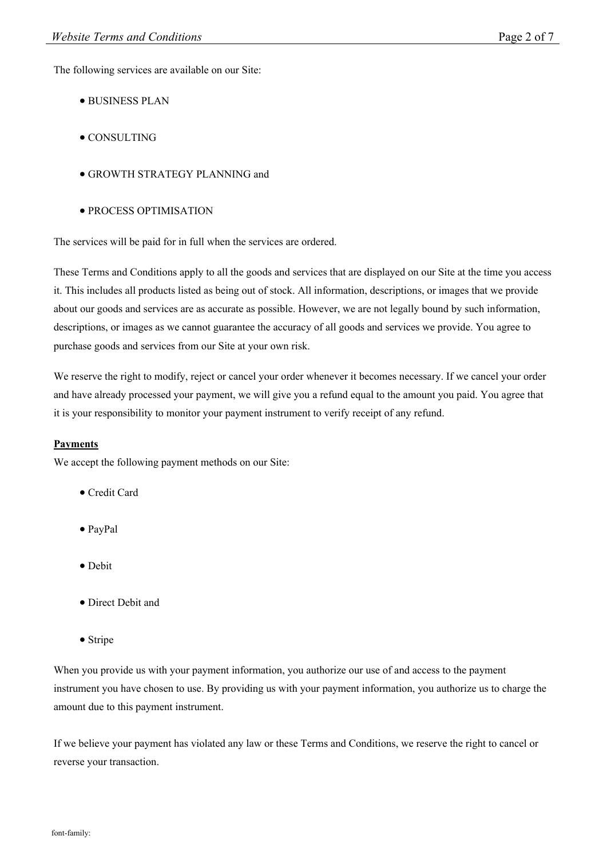The following services are available on our Site:

- BUSINESS PLAN
- CONSULTING
- GROWTH STRATEGY PLANNING and
- PROCESS OPTIMISATION

The services will be paid for in full when the services are ordered.

These Terms and Conditions apply to all the goods and services that are displayed on our Site at the time you access it. This includes all products listed as being out of stock. All information, descriptions, or images that we provide about our goods and services are as accurate as possible. However, we are not legally bound by such information, descriptions, or images as we cannot guarantee the accuracy of all goods and services we provide. You agree to purchase goods and services from our Site at your own risk.

We reserve the right to modify, reject or cancel your order whenever it becomes necessary. If we cancel your order and have already processed your payment, we will give you a refund equal to the amount you paid. You agree that it is your responsibility to monitor your payment instrument to verify receipt of any refund.

## **Payments**

We accept the following payment methods on our Site:

- Credit Card
- PayPal
- Debit
- Direct Debit and
- Stripe

When you provide us with your payment information, you authorize our use of and access to the payment instrument you have chosen to use. By providing us with your payment information, you authorize us to charge the amount due to this payment instrument.

If we believe your payment has violated any law or these Terms and Conditions, we reserve the right to cancel or reverse your transaction.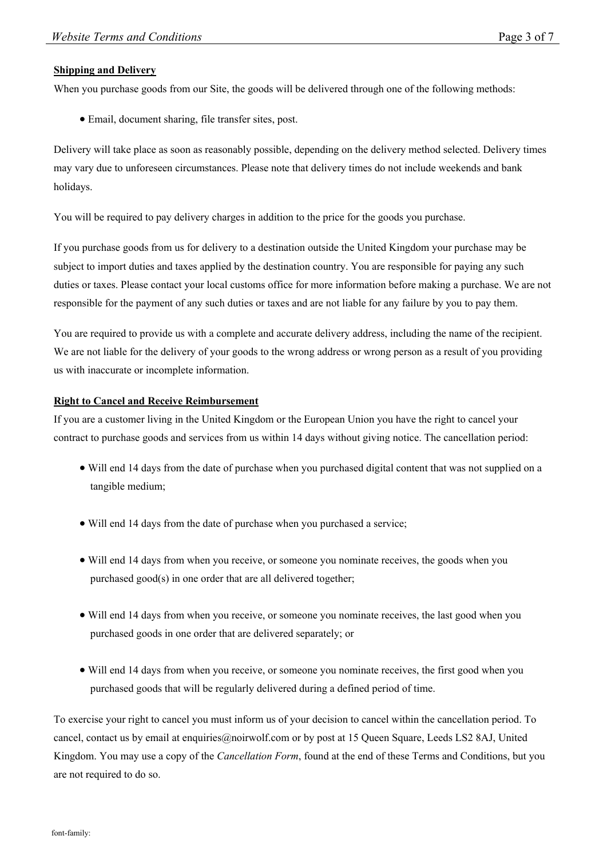#### **Shipping and Delivery**

When you purchase goods from our Site, the goods will be delivered through one of the following methods:

Email, document sharing, file transfer sites, post.

Delivery will take place as soon as reasonably possible, depending on the delivery method selected. Delivery times may vary due to unforeseen circumstances. Please note that delivery times do not include weekends and bank holidays.

You will be required to pay delivery charges in addition to the price for the goods you purchase.

If you purchase goods from us for delivery to a destination outside the United Kingdom your purchase may be subject to import duties and taxes applied by the destination country. You are responsible for paying any such duties or taxes. Please contact your local customs office for more information before making a purchase. We are not responsible for the payment of any such duties or taxes and are not liable for any failure by you to pay them.

You are required to provide us with a complete and accurate delivery address, including the name of the recipient. We are not liable for the delivery of your goods to the wrong address or wrong person as a result of you providing us with inaccurate or incomplete information.

#### **Right to Cancel and Receive Reimbursement**

If you are a customer living in the United Kingdom or the European Union you have the right to cancel your contract to purchase goods and services from us within 14 days without giving notice. The cancellation period:

- Will end 14 days from the date of purchase when you purchased digital content that was not supplied on a tangible medium;
- Will end 14 days from the date of purchase when you purchased a service;
- Will end 14 days from when you receive, or someone you nominate receives, the goods when you purchased good(s) in one order that are all delivered together;
- Will end 14 days from when you receive, or someone you nominate receives, the last good when you purchased goods in one order that are delivered separately; or
- Will end 14 days from when you receive, or someone you nominate receives, the first good when you purchased goods that will be regularly delivered during a defined period of time.

To exercise your right to cancel you must inform us of your decision to cancel within the cancellation period. To cancel, contact us by email at enquiries@noirwolf.com or by post at 15 Queen Square, Leeds LS2 8AJ, United Kingdom. You may use a copy of the *Cancellation Form*, found at the end of these Terms and Conditions, but you are not required to do so.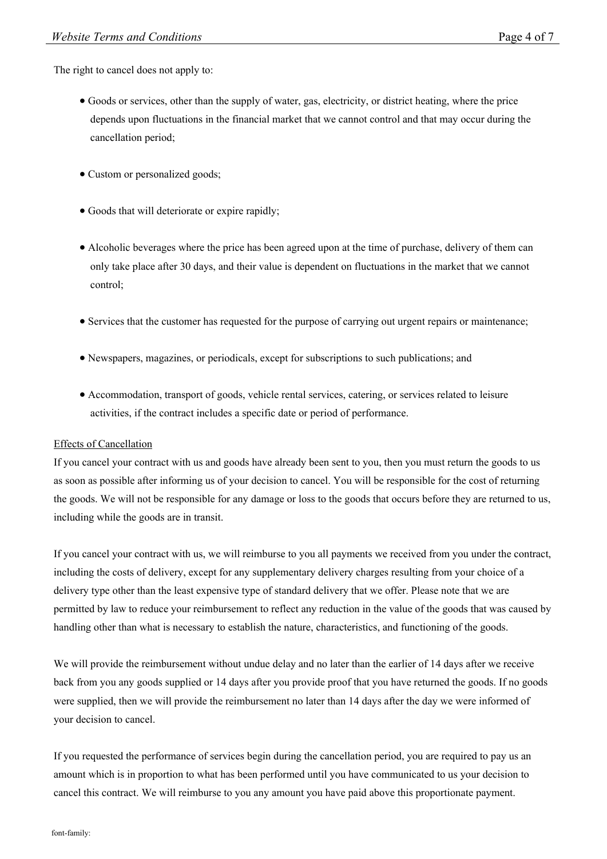The right to cancel does not apply to:

- Goods or services, other than the supply of water, gas, electricity, or district heating, where the price depends upon fluctuations in the financial market that we cannot control and that may occur during the cancellation period;
- Custom or personalized goods;
- Goods that will deteriorate or expire rapidly;
- Alcoholic beverages where the price has been agreed upon at the time of purchase, delivery of them can only take place after 30 days, and their value is dependent on fluctuations in the market that we cannot control;
- Services that the customer has requested for the purpose of carrying out urgent repairs or maintenance;
- Newspapers, magazines, or periodicals, except for subscriptions to such publications; and
- Accommodation, transport of goods, vehicle rental services, catering, or services related to leisure activities, if the contract includes a specific date or period of performance.

#### Effects of Cancellation

If you cancel your contract with us and goods have already been sent to you, then you must return the goods to us as soon as possible after informing us of your decision to cancel. You will be responsible for the cost of returning the goods. We will not be responsible for any damage or loss to the goods that occurs before they are returned to us, including while the goods are in transit.

If you cancel your contract with us, we will reimburse to you all payments we received from you under the contract, including the costs of delivery, except for any supplementary delivery charges resulting from your choice of a delivery type other than the least expensive type of standard delivery that we offer. Please note that we are permitted by law to reduce your reimbursement to reflect any reduction in the value of the goods that was caused by handling other than what is necessary to establish the nature, characteristics, and functioning of the goods.

We will provide the reimbursement without undue delay and no later than the earlier of 14 days after we receive back from you any goods supplied or 14 days after you provide proof that you have returned the goods. If no goods were supplied, then we will provide the reimbursement no later than 14 days after the day we were informed of your decision to cancel.

If you requested the performance of services begin during the cancellation period, you are required to pay us an amount which is in proportion to what has been performed until you have communicated to us your decision to cancel this contract. We will reimburse to you any amount you have paid above this proportionate payment.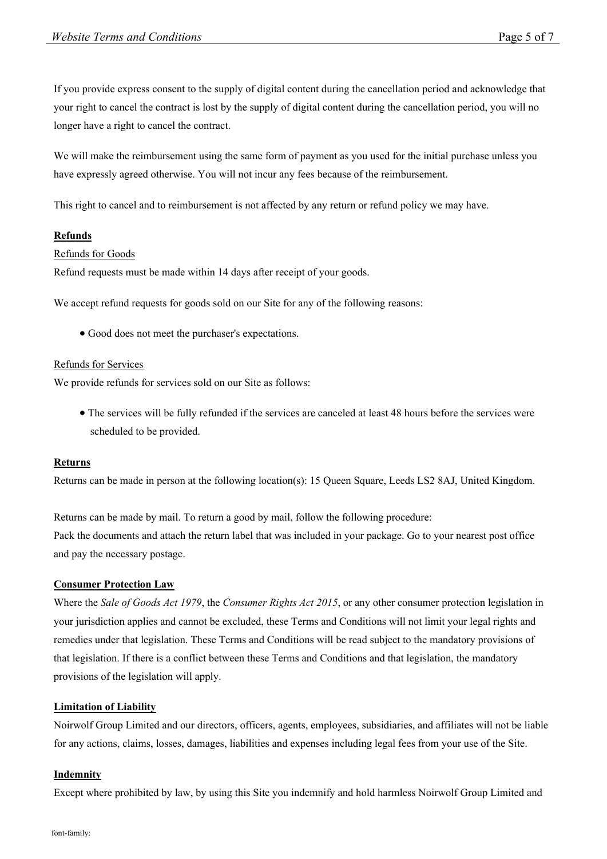If you provide express consent to the supply of digital content during the cancellation period and acknowledge that your right to cancel the contract is lost by the supply of digital content during the cancellation period, you will no longer have a right to cancel the contract.

We will make the reimbursement using the same form of payment as you used for the initial purchase unless you have expressly agreed otherwise. You will not incur any fees because of the reimbursement.

This right to cancel and to reimbursement is not affected by any return or refund policy we may have.

# **Refunds**

Refunds for Goods

Refund requests must be made within 14 days after receipt of your goods.

We accept refund requests for goods sold on our Site for any of the following reasons:

Good does not meet the purchaser's expectations.

# Refunds for Services

We provide refunds for services sold on our Site as follows:

 The services will be fully refunded if the services are canceled at least 48 hours before the services were scheduled to be provided.

## **Returns**

Returns can be made in person at the following location(s): 15 Queen Square, Leeds LS2 8AJ, United Kingdom.

Returns can be made by mail. To return a good by mail, follow the following procedure: Pack the documents and attach the return label that was included in your package. Go to your nearest post office and pay the necessary postage.

# **Consumer Protection Law**

Where the *Sale of Goods Act 1979*, the *Consumer Rights Act 2015*, or any other consumer protection legislation in your jurisdiction applies and cannot be excluded, these Terms and Conditions will not limit your legal rights and remedies under that legislation. These Terms and Conditions will be read subject to the mandatory provisions of that legislation. If there is a conflict between these Terms and Conditions and that legislation, the mandatory provisions of the legislation will apply.

## **Limitation of Liability**

Noirwolf Group Limited and our directors, officers, agents, employees, subsidiaries, and affiliates will not be liable for any actions, claims, losses, damages, liabilities and expenses including legal fees from your use of the Site.

## **Indemnity**

Except where prohibited by law, by using this Site you indemnify and hold harmless Noirwolf Group Limited and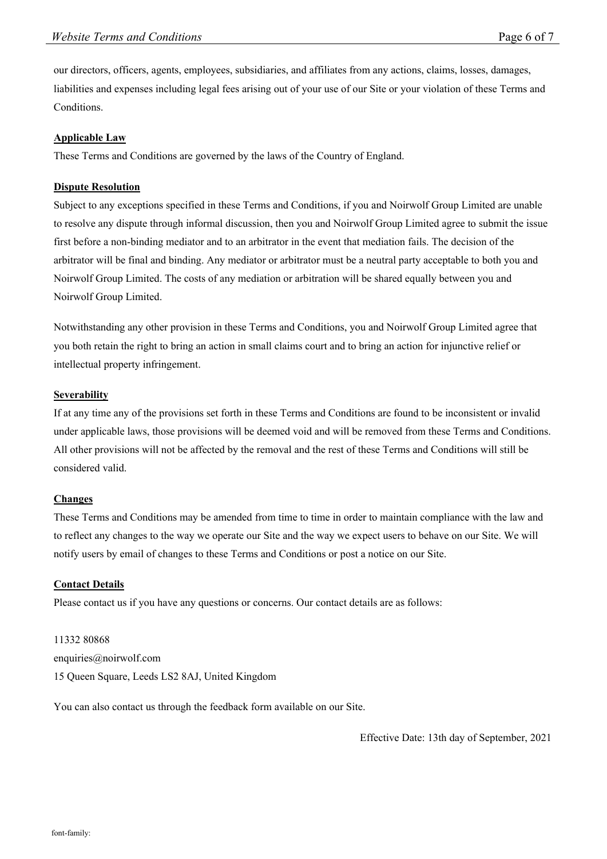our directors, officers, agents, employees, subsidiaries, and affiliates from any actions, claims, losses, damages, liabilities and expenses including legal fees arising out of your use of our Site or your violation of these Terms and Conditions.

## **Applicable Law**

These Terms and Conditions are governed by the laws of the Country of England.

#### **Dispute Resolution**

Subject to any exceptions specified in these Terms and Conditions, if you and Noirwolf Group Limited are unable to resolve any dispute through informal discussion, then you and Noirwolf Group Limited agree to submit the issue first before a non-binding mediator and to an arbitrator in the event that mediation fails. The decision of the arbitrator will be final and binding. Any mediator or arbitrator must be a neutral party acceptable to both you and Noirwolf Group Limited. The costs of any mediation or arbitration will be shared equally between you and Noirwolf Group Limited.

Notwithstanding any other provision in these Terms and Conditions, you and Noirwolf Group Limited agree that you both retain the right to bring an action in small claims court and to bring an action for injunctive relief or intellectual property infringement.

#### **Severability**

If at any time any of the provisions set forth in these Terms and Conditions are found to be inconsistent or invalid under applicable laws, those provisions will be deemed void and will be removed from these Terms and Conditions. All other provisions will not be affected by the removal and the rest of these Terms and Conditions will still be considered valid.

## **Changes**

These Terms and Conditions may be amended from time to time in order to maintain compliance with the law and to reflect any changes to the way we operate our Site and the way we expect users to behave on our Site. We will notify users by email of changes to these Terms and Conditions or post a notice on our Site.

## **Contact Details**

Please contact us if you have any questions or concerns. Our contact details are as follows:

11332 80868 enquiries@noirwolf.com 15 Queen Square, Leeds LS2 8AJ, United Kingdom

You can also contact us through the feedback form available on our Site.

Effective Date: 13th day of September, 2021